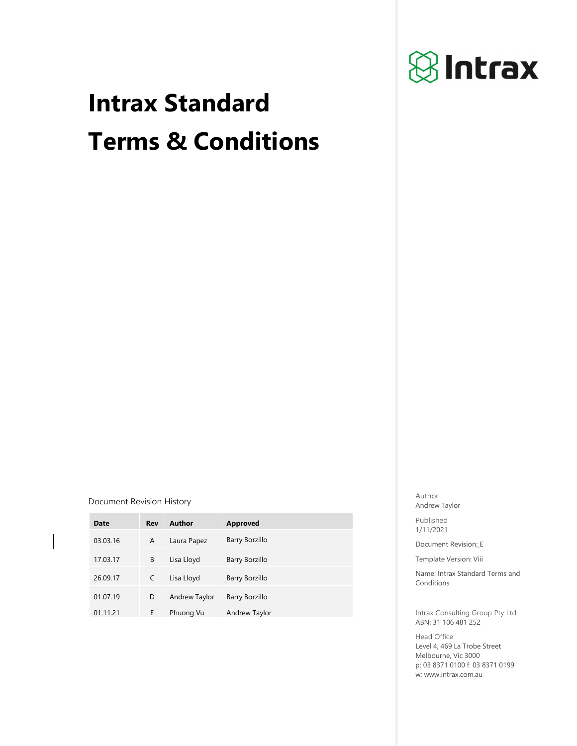

# **Intrax Standard Terms & Conditions**

**Document Revision History** Author **Author** 

| Date     | Rev | Author        | <b>Approved</b> |
|----------|-----|---------------|-----------------|
| 03.03.16 | A   | Laura Papez   | Barry Borzillo  |
| 17.03.17 | B   | Lisa Lloyd    | Barry Borzillo  |
| 26.09.17 | C   | Lisa Lloyd    | Barry Borzillo  |
| 01.07.19 | D   | Andrew Taylor | Barry Borzillo  |
| 01.11.21 | E   | Phuong Vu     | Andrew Taylor   |

Andrew Taylor

Published 1/11/2021

Document Revision:\_E

Template Version: Viii

Name: Intrax Standard Terms and Conditions

Intrax Consulting Group Pty Ltd ABN: 31 106 481 252

Head Office Level 4, 469 La Trobe Street Melbourne, Vic 3000 p: 03 8371 0100 f: 03 8371 0199 w: www.intrax.com.au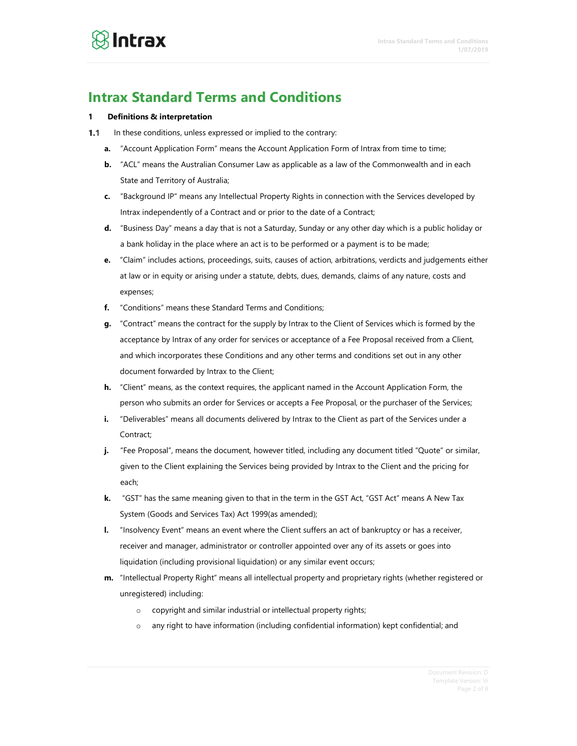### **Intrax Standard Terms and Conditions**

#### **1 Definitions & interpretation**

- $1.1$ In these conditions, unless expressed or implied to the contrary:
	- **a.** "Account Application Form" means the Account Application Form of Intrax from time to time;
	- **b.** "ACL" means the Australian Consumer Law as applicable as a law of the Commonwealth and in each State and Territory of Australia;
	- **c.** "Background IP" means any Intellectual Property Rights in connection with the Services developed by Intrax independently of a Contract and or prior to the date of a Contract;
	- **d.** "Business Day" means a day that is not a Saturday, Sunday or any other day which is a public holiday or a bank holiday in the place where an act is to be performed or a payment is to be made;
	- **e.** "Claim" includes actions, proceedings, suits, causes of action, arbitrations, verdicts and judgements either at law or in equity or arising under a statute, debts, dues, demands, claims of any nature, costs and expenses;
	- **f.** "Conditions" means these Standard Terms and Conditions;
	- **g.** "Contract" means the contract for the supply by Intrax to the Client of Services which is formed by the acceptance by Intrax of any order for services or acceptance of a Fee Proposal received from a Client, and which incorporates these Conditions and any other terms and conditions set out in any other document forwarded by Intrax to the Client;
	- **h.** "Client" means, as the context requires, the applicant named in the Account Application Form, the person who submits an order for Services or accepts a Fee Proposal, or the purchaser of the Services;
	- **i.** "Deliverables" means all documents delivered by Intrax to the Client as part of the Services under a Contract;
	- **j.** "Fee Proposal", means the document, however titled, including any document titled "Quote" or similar, given to the Client explaining the Services being provided by Intrax to the Client and the pricing for each;
	- **k.** "GST" has the same meaning given to that in the term in the GST Act, "GST Act" means A New Tax System (Goods and Services Tax) Act 1999(as amended);
	- **l.** "Insolvency Event" means an event where the Client suffers an act of bankruptcy or has a receiver, receiver and manager, administrator or controller appointed over any of its assets or goes into liquidation (including provisional liquidation) or any similar event occurs;
	- **m.** "Intellectual Property Right" means all intellectual property and proprietary rights (whether registered or unregistered) including:
		- o copyright and similar industrial or intellectual property rights;
		- o any right to have information (including confidential information) kept confidential; and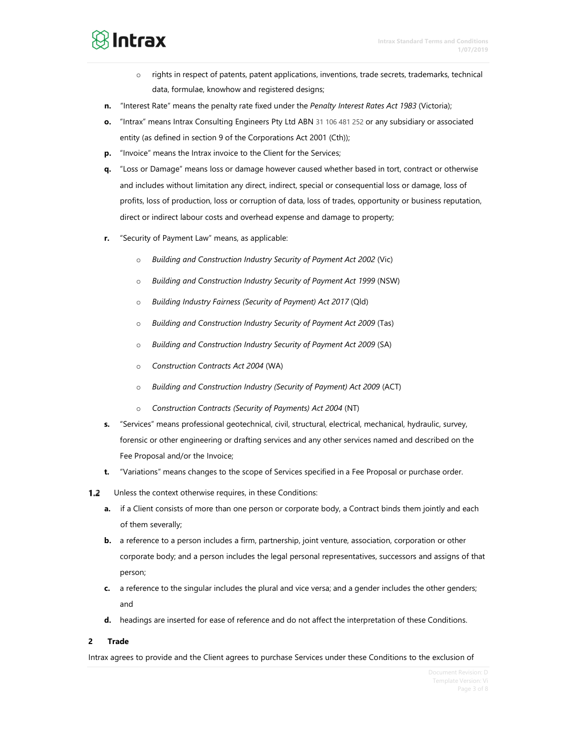### $\otimes$  Intrax

- $\circ$  rights in respect of patents, patent applications, inventions, trade secrets, trademarks, technical data, formulae, knowhow and registered designs;
- **n.** "Interest Rate" means the penalty rate fixed under the *Penalty Interest Rates Act 1983* (Victoria);
- **o.** "Intrax" means Intrax Consulting Engineers Pty Ltd ABN 31 106 481 252 or any subsidiary or associated entity (as defined in section 9 of the Corporations Act 2001 (Cth));
- **p.** "Invoice" means the Intrax invoice to the Client for the Services;
- **q.** "Loss or Damage" means loss or damage however caused whether based in tort, contract or otherwise and includes without limitation any direct, indirect, special or consequential loss or damage, loss of profits, loss of production, loss or corruption of data, loss of trades, opportunity or business reputation, direct or indirect labour costs and overhead expense and damage to property;
- **r.** "Security of Payment Law" means, as applicable:
	- o *Building and Construction Industry Security of Payment Act 2002* (Vic)
	- o *Building and Construction Industry Security of Payment Act 1999* (NSW)
	- o *Building Industry Fairness (Security of Payment) Act 2017* (Qld)
	- o *Building and Construction Industry Security of Payment Act 2009* (Tas)
	- o *Building and Construction Industry Security of Payment Act 2009* (SA)
	- o *Construction Contracts Act 2004* (WA)
	- o *Building and Construction Industry (Security of Payment) Act 2009* (ACT)
	- o *Construction Contracts (Security of Payments) Act 2004* (NT)
- **s.** "Services" means professional geotechnical, civil, structural, electrical, mechanical, hydraulic, survey, forensic or other engineering or drafting services and any other services named and described on the Fee Proposal and/or the Invoice;
- **t.** "Variations" means changes to the scope of Services specified in a Fee Proposal or purchase order.
- $1.2$ Unless the context otherwise requires, in these Conditions:
	- **a.** if a Client consists of more than one person or corporate body, a Contract binds them jointly and each of them severally;
	- **b.** a reference to a person includes a firm, partnership, joint venture, association, corporation or other corporate body; and a person includes the legal personal representatives, successors and assigns of that person;
	- **c.** a reference to the singular includes the plural and vice versa; and a gender includes the other genders; and
	- **d.** headings are inserted for ease of reference and do not affect the interpretation of these Conditions.

#### **2 Trade**

Intrax agrees to provide and the Client agrees to purchase Services under these Conditions to the exclusion of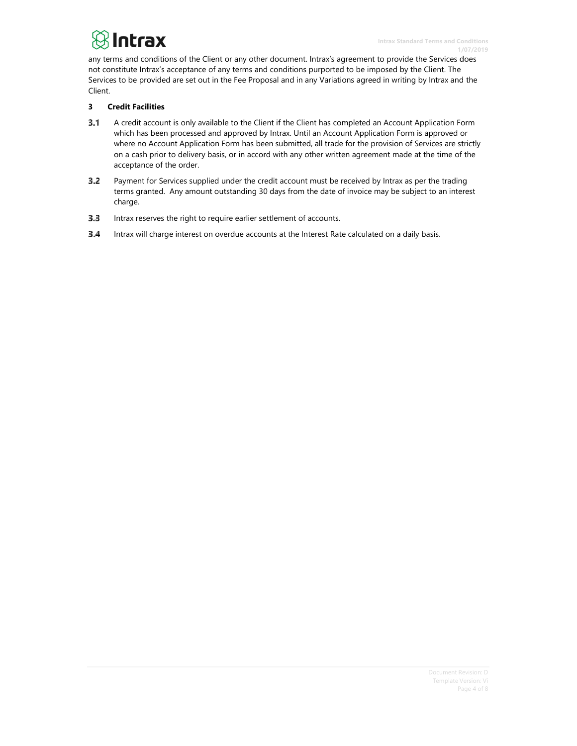## $\bigcirc$  Intrax

any terms and conditions of the Client or any other document. Intrax's agreement to provide the Services does not constitute Intrax's acceptance of any terms and conditions purported to be imposed by the Client. The Services to be provided are set out in the Fee Proposal and in any Variations agreed in writing by Intrax and the Client.

#### **3 Credit Facilities**

- $3.1$ A credit account is only available to the Client if the Client has completed an Account Application Form which has been processed and approved by Intrax. Until an Account Application Form is approved or where no Account Application Form has been submitted, all trade for the provision of Services are strictly on a cash prior to delivery basis, or in accord with any other written agreement made at the time of the acceptance of the order.
- $3.2$ Payment for Services supplied under the credit account must be received by Intrax as per the trading terms granted. Any amount outstanding 30 days from the date of invoice may be subject to an interest charge.
- 3.3 Intrax reserves the right to require earlier settlement of accounts.
- $3.4$ Intrax will charge interest on overdue accounts at the Interest Rate calculated on a daily basis.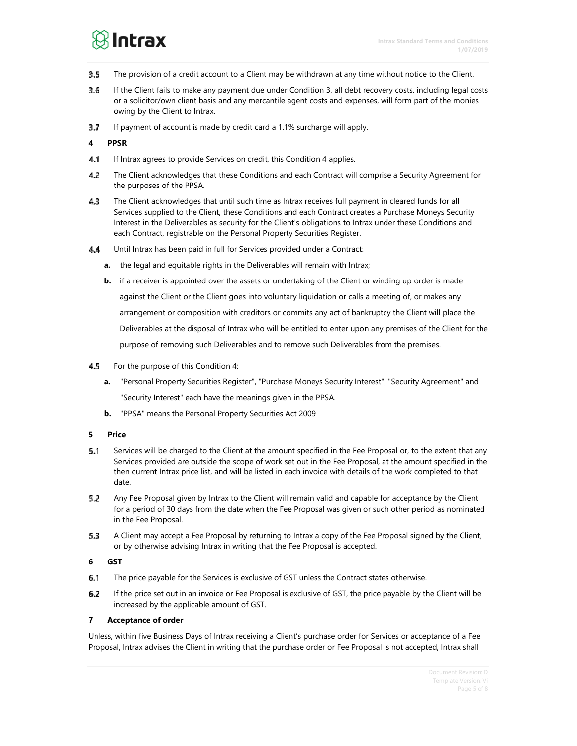### $\otimes$  Intrax

- $3.5$ The provision of a credit account to a Client may be withdrawn at any time without notice to the Client.
- 3.6 If the Client fails to make any payment due under Condition 3, all debt recovery costs, including legal costs or a solicitor/own client basis and any mercantile agent costs and expenses, will form part of the monies owing by the Client to Intrax.
- 3.7 If payment of account is made by credit card a 1.1% surcharge will apply.

#### **4 PPSR**

- 4.1 If Intrax agrees to provide Services on credit, this Condition 4 applies.
- $4.2$ The Client acknowledges that these Conditions and each Contract will comprise a Security Agreement for the purposes of the PPSA.
- 4.3 The Client acknowledges that until such time as Intrax receives full payment in cleared funds for all Services supplied to the Client, these Conditions and each Contract creates a Purchase Moneys Security Interest in the Deliverables as security for the Client's obligations to Intrax under these Conditions and each Contract, registrable on the Personal Property Securities Register.
- 4.4 Until Intrax has been paid in full for Services provided under a Contract:
	- **a.** the legal and equitable rights in the Deliverables will remain with Intrax;
	- **b.** if a receiver is appointed over the assets or undertaking of the Client or winding up order is made against the Client or the Client goes into voluntary liquidation or calls a meeting of, or makes any arrangement or composition with creditors or commits any act of bankruptcy the Client will place the Deliverables at the disposal of Intrax who will be entitled to enter upon any premises of the Client for the purpose of removing such Deliverables and to remove such Deliverables from the premises.
- 4.5 For the purpose of this Condition 4:
	- **a.** "Personal Property Securities Register", "Purchase Moneys Security Interest", "Security Agreement" and "Security Interest" each have the meanings given in the PPSA.
	- **b.** "PPSA" means the Personal Property Securities Act 2009

#### **5 Price**

- 5.1 Services will be charged to the Client at the amount specified in the Fee Proposal or, to the extent that any Services provided are outside the scope of work set out in the Fee Proposal, at the amount specified in the then current Intrax price list, and will be listed in each invoice with details of the work completed to that date.
- 5.2 Any Fee Proposal given by Intrax to the Client will remain valid and capable for acceptance by the Client for a period of 30 days from the date when the Fee Proposal was given or such other period as nominated in the Fee Proposal.
- 5.3 A Client may accept a Fee Proposal by returning to Intrax a copy of the Fee Proposal signed by the Client, or by otherwise advising Intrax in writing that the Fee Proposal is accepted.

#### **6 GST**

- 6.1 The price payable for the Services is exclusive of GST unless the Contract states otherwise.
- 6.2 If the price set out in an invoice or Fee Proposal is exclusive of GST, the price payable by the Client will be increased by the applicable amount of GST.

#### **7 Acceptance of order**

Unless, within five Business Days of Intrax receiving a Client's purchase order for Services or acceptance of a Fee Proposal, Intrax advises the Client in writing that the purchase order or Fee Proposal is not accepted, Intrax shall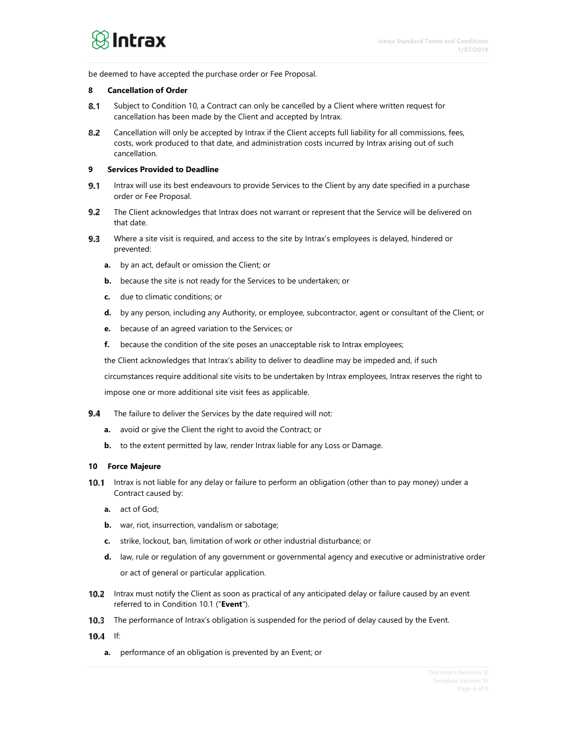be deemed to have accepted the purchase order or Fee Proposal.

#### **8 Cancellation of Order**

- Subject to Condition 10, a Contract can only be cancelled by a Client where written request for 8.1 cancellation has been made by the Client and accepted by Intrax.
- 8.2 Cancellation will only be accepted by Intrax if the Client accepts full liability for all commissions, fees, costs, work produced to that date, and administration costs incurred by Intrax arising out of such cancellation.

#### **9 Services Provided to Deadline**

- 9.1 Intrax will use its best endeavours to provide Services to the Client by any date specified in a purchase order or Fee Proposal.
- 9.2 The Client acknowledges that Intrax does not warrant or represent that the Service will be delivered on that date.
- $9.3$ Where a site visit is required, and access to the site by Intrax's employees is delayed, hindered or prevented:
	- **a.** by an act, default or omission the Client; or
	- **b.** because the site is not ready for the Services to be undertaken; or
	- **c.** due to climatic conditions; or
	- **d.** by any person, including any Authority, or employee, subcontractor, agent or consultant of the Client; or
	- **e.** because of an agreed variation to the Services; or
	- **f.** because the condition of the site poses an unacceptable risk to Intrax employees;

the Client acknowledges that Intrax's ability to deliver to deadline may be impeded and, if such

circumstances require additional site visits to be undertaken by Intrax employees, Intrax reserves the right to impose one or more additional site visit fees as applicable.

- Q 4 The failure to deliver the Services by the date required will not:
	- **a.** avoid or give the Client the right to avoid the Contract; or
	- **b.** to the extent permitted by law, render Intrax liable for any Loss or Damage.

#### **10 Force Majeure**

- 10.1 Intrax is not liable for any delay or failure to perform an obligation (other than to pay money) under a Contract caused by:
	- **a.** act of God;
	- **b.** war, riot, insurrection, vandalism or sabotage;
	- **c.** strike, lockout, ban, limitation of work or other industrial disturbance; or
	- **d.** law, rule or regulation of any government or governmental agency and executive or administrative order or act of general or particular application.
- 10.2 Intrax must notify the Client as soon as practical of any anticipated delay or failure caused by an event referred to in Condition 10.1 ("**Event**").
- 10.3 The performance of Intrax's obligation is suspended for the period of delay caused by the Event.
- 10.4 If:
	- **a.** performance of an obligation is prevented by an Event; or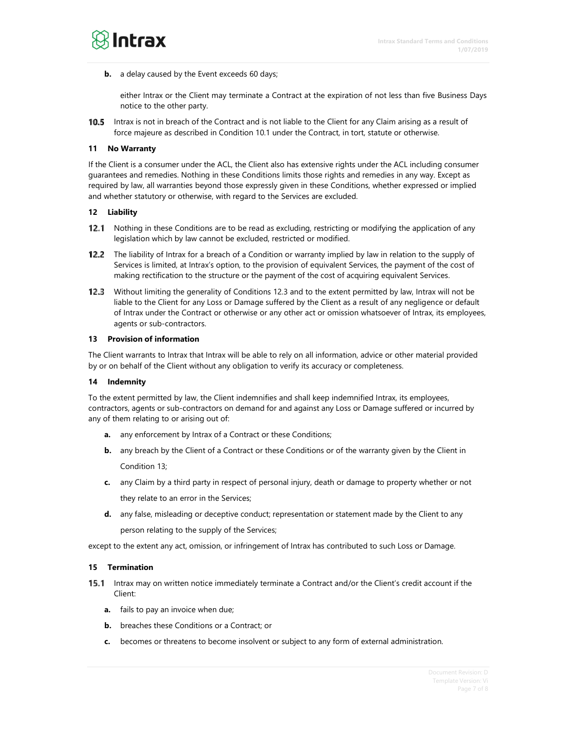

**b.** a delay caused by the Event exceeds 60 days;

either Intrax or the Client may terminate a Contract at the expiration of not less than five Business Days notice to the other party.

**10.5** Intrax is not in breach of the Contract and is not liable to the Client for any Claim arising as a result of force majeure as described in Condition 10.1 under the Contract, in tort, statute or otherwise.

#### **11 No Warranty**

If the Client is a consumer under the ACL, the Client also has extensive rights under the ACL including consumer guarantees and remedies. Nothing in these Conditions limits those rights and remedies in any way. Except as required by law, all warranties beyond those expressly given in these Conditions, whether expressed or implied and whether statutory or otherwise, with regard to the Services are excluded.

#### **12 Liability**

- 12.1 Nothing in these Conditions are to be read as excluding, restricting or modifying the application of any legislation which by law cannot be excluded, restricted or modified.
- 12.2 The liability of Intrax for a breach of a Condition or warranty implied by law in relation to the supply of Services is limited, at Intrax's option, to the provision of equivalent Services, the payment of the cost of making rectification to the structure or the payment of the cost of acquiring equivalent Services.
- 12.3 Without limiting the generality of Conditions 12.3 and to the extent permitted by law, Intrax will not be liable to the Client for any Loss or Damage suffered by the Client as a result of any negligence or default of Intrax under the Contract or otherwise or any other act or omission whatsoever of Intrax, its employees, agents or sub-contractors.

#### **13 Provision of information**

The Client warrants to Intrax that Intrax will be able to rely on all information, advice or other material provided by or on behalf of the Client without any obligation to verify its accuracy or completeness.

#### **14 Indemnity**

To the extent permitted by law, the Client indemnifies and shall keep indemnified Intrax, its employees, contractors, agents or sub-contractors on demand for and against any Loss or Damage suffered or incurred by any of them relating to or arising out of:

- **a.** any enforcement by Intrax of a Contract or these Conditions;
- **b.** any breach by the Client of a Contract or these Conditions or of the warranty given by the Client in Condition 13;
- **c.** any Claim by a third party in respect of personal injury, death or damage to property whether or not they relate to an error in the Services;
- **d.** any false, misleading or deceptive conduct; representation or statement made by the Client to any person relating to the supply of the Services;

except to the extent any act, omission, or infringement of Intrax has contributed to such Loss or Damage.

#### **15 Termination**

- 15.1 Intrax may on written notice immediately terminate a Contract and/or the Client's credit account if the Client:
	- **a.** fails to pay an invoice when due;
	- **b.** breaches these Conditions or a Contract; or
	- **c.** becomes or threatens to become insolvent or subject to any form of external administration.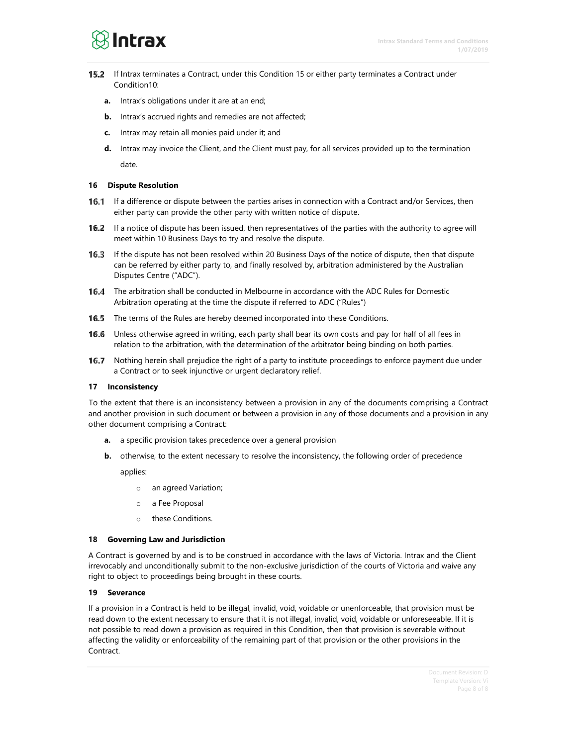

- **15.2** If Intrax terminates a Contract, under this Condition 15 or either party terminates a Contract under Condition10:
	- **a.** Intrax's obligations under it are at an end;
	- **b.** Intrax's accrued rights and remedies are not affected;
	- **c.** Intrax may retain all monies paid under it; and
	- **d.** Intrax may invoice the Client, and the Client must pay, for all services provided up to the termination date.

#### **16 Dispute Resolution**

- $16.1$ If a difference or dispute between the parties arises in connection with a Contract and/or Services, then either party can provide the other party with written notice of dispute.
- 16.2 If a notice of dispute has been issued, then representatives of the parties with the authority to agree will meet within 10 Business Days to try and resolve the dispute.
- 16.3 If the dispute has not been resolved within 20 Business Days of the notice of dispute, then that dispute can be referred by either party to, and finally resolved by, arbitration administered by the Australian Disputes Centre ("ADC").
- **16.4** The arbitration shall be conducted in Melbourne in accordance with the ADC Rules for Domestic Arbitration operating at the time the dispute if referred to ADC ("Rules")
- 16.5 The terms of the Rules are hereby deemed incorporated into these Conditions.
- 16.6 Unless otherwise agreed in writing, each party shall bear its own costs and pay for half of all fees in relation to the arbitration, with the determination of the arbitrator being binding on both parties.
- Nothing herein shall prejudice the right of a party to institute proceedings to enforce payment due under 16.7 a Contract or to seek injunctive or urgent declaratory relief.

#### **17 Inconsistency**

To the extent that there is an inconsistency between a provision in any of the documents comprising a Contract and another provision in such document or between a provision in any of those documents and a provision in any other document comprising a Contract:

- **a.** a specific provision takes precedence over a general provision
- **b.** otherwise, to the extent necessary to resolve the inconsistency, the following order of precedence

applies:

- o an agreed Variation;
- o a Fee Proposal
- o these Conditions.

#### **18 Governing Law and Jurisdiction**

A Contract is governed by and is to be construed in accordance with the laws of Victoria. Intrax and the Client irrevocably and unconditionally submit to the non-exclusive jurisdiction of the courts of Victoria and waive any right to object to proceedings being brought in these courts.

#### **19 Severance**

If a provision in a Contract is held to be illegal, invalid, void, voidable or unenforceable, that provision must be read down to the extent necessary to ensure that it is not illegal, invalid, void, voidable or unforeseeable. If it is not possible to read down a provision as required in this Condition, then that provision is severable without affecting the validity or enforceability of the remaining part of that provision or the other provisions in the Contract.